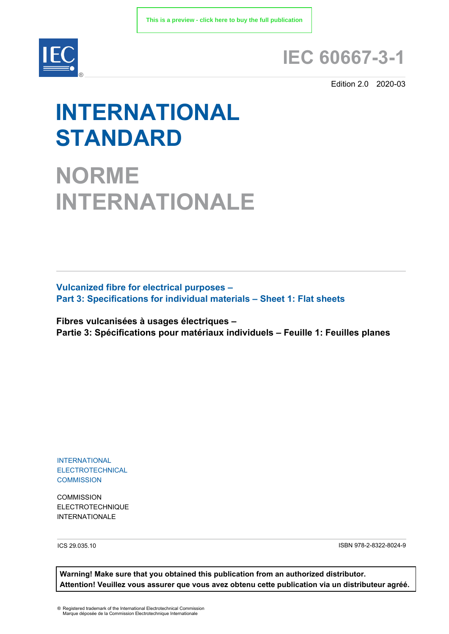

# **IEC 60667-3-1**

Edition 2.0 2020-03

# **INTERNATIONAL STANDARD**

**NORME INTERNATIONALE**

**Vulcanized fibre for electrical purposes – Part 3: Specifications for individual materials – Sheet 1: Flat sheets** 

**Fibres vulcanisées à usages électriques – Partie 3: Spécifications pour matériaux individuels – Feuille 1: Feuilles planes**

INTERNATIONAL **ELECTROTECHNICAL COMMISSION** 

**COMMISSION** ELECTROTECHNIQUE INTERNATIONALE

ICS 29.035.10 ISBN 978-2-8322-8024-9

**Warning! Make sure that you obtained this publication from an authorized distributor. Attention! Veuillez vous assurer que vous avez obtenu cette publication via un distributeur agréé.**

® Registered trademark of the International Electrotechnical Commission Marque déposée de la Commission Electrotechnique Internationale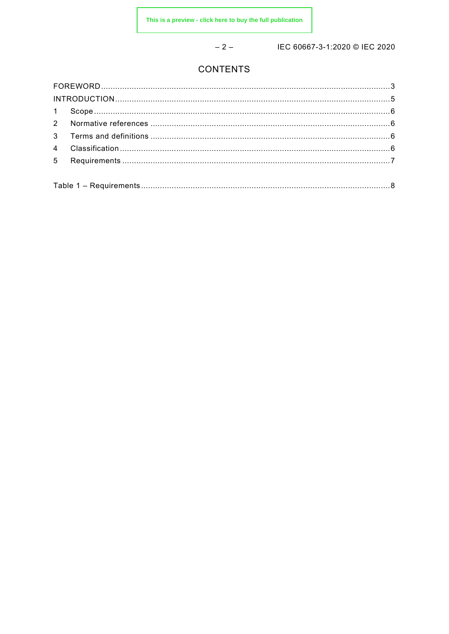$-2-$ 

IEC 60667-3-1:2020 © IEC 2020

# **CONTENTS**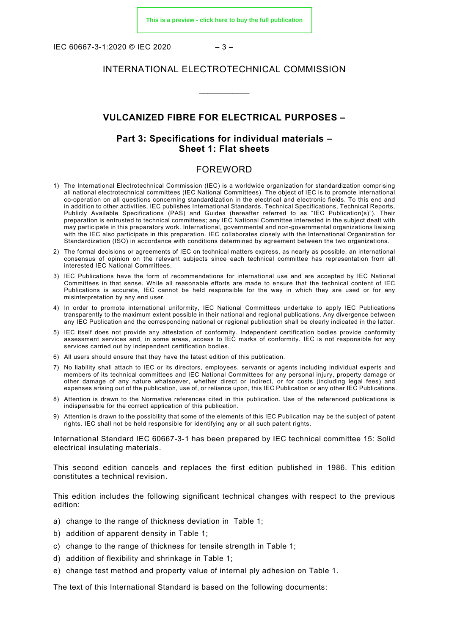IEC 60667-3-1:2020 © IEC 2020  $-3-$ 

#### INTERNATIONAL ELECTROTECHNICAL COMMISSION

#### **VULCANIZED FIBRE FOR ELECTRICAL PURPOSES –**

\_\_\_\_\_\_\_\_\_\_\_\_

### **Part 3: Specifications for individual materials – Sheet 1: Flat sheets**

#### FOREWORD

- <span id="page-2-0"></span>1) The International Electrotechnical Commission (IEC) is a worldwide organization for standardization comprising all national electrotechnical committees (IEC National Committees). The object of IEC is to promote international co-operation on all questions concerning standardization in the electrical and electronic fields. To this end and in addition to other activities, IEC publishes International Standards, Technical Specifications, Technical Reports, Publicly Available Specifications (PAS) and Guides (hereafter referred to as "IEC Publication(s)"). Their preparation is entrusted to technical committees; any IEC National Committee interested in the subject dealt with may participate in this preparatory work. International, governmental and non-governmental organizations liaising with the IEC also participate in this preparation. IEC collaborates closely with the International Organization for Standardization (ISO) in accordance with conditions determined by agreement between the two organizations.
- 2) The formal decisions or agreements of IEC on technical matters express, as nearly as possible, an international consensus of opinion on the relevant subjects since each technical committee has representation from all interested IEC National Committees.
- 3) IEC Publications have the form of recommendations for international use and are accepted by IEC National Committees in that sense. While all reasonable efforts are made to ensure that the technical content of IEC Publications is accurate, IEC cannot be held responsible for the way in which they are used or for any misinterpretation by any end user.
- 4) In order to promote international uniformity, IEC National Committees undertake to apply IEC Publications transparently to the maximum extent possible in their national and regional publications. Any divergence between any IEC Publication and the corresponding national or regional publication shall be clearly indicated in the latter.
- 5) IEC itself does not provide any attestation of conformity. Independent certification bodies provide conformity assessment services and, in some areas, access to IEC marks of conformity. IEC is not responsible for any services carried out by independent certification bodies.
- 6) All users should ensure that they have the latest edition of this publication.
- 7) No liability shall attach to IEC or its directors, employees, servants or agents including individual experts and members of its technical committees and IEC National Committees for any personal injury, property damage or other damage of any nature whatsoever, whether direct or indirect, or for costs (including legal fees) and expenses arising out of the publication, use of, or reliance upon, this IEC Publication or any other IEC Publications.
- 8) Attention is drawn to the Normative references cited in this publication. Use of the referenced publications is indispensable for the correct application of this publication.
- 9) Attention is drawn to the possibility that some of the elements of this IEC Publication may be the subject of patent rights. IEC shall not be held responsible for identifying any or all such patent rights.

International Standard IEC 60667-3-1 has been prepared by IEC technical committee 15: Solid electrical insulating materials.

This second edition cancels and replaces the first edition published in 1986. This edition constitutes a technical revision.

This edition includes the following significant technical changes with respect to the previous edition:

- a) change to the range of thickness deviation in Table 1;
- b) addition of apparent density in Table 1;
- c) change to the range of thickness for tensile strength in Table 1;
- d) addition of flexibility and shrinkage in Table 1;
- e) change test method and property value of internal ply adhesion on Table 1.

The text of this International Standard is based on the following documents: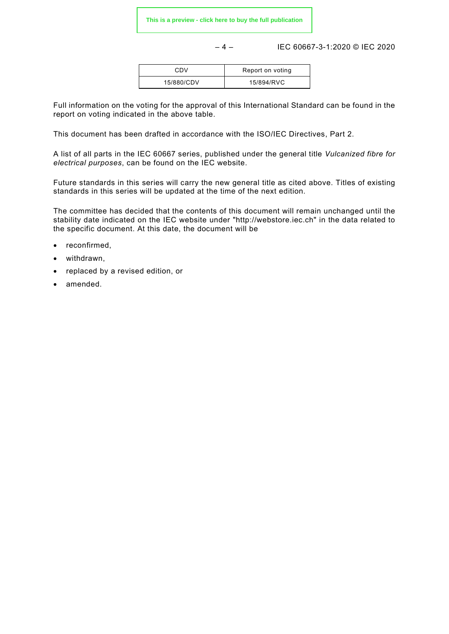#### **[This is a preview - click here to buy the full publication](https://webstore.iec.ch/publication/63398&preview)**

– 4 – IEC 60667-3-1:2020 © IEC 2020

| CDV        | Report on voting |
|------------|------------------|
| 15/880/CDV | 15/894/RVC       |

Full information on the voting for the approval of this International Standard can be found in the report on voting indicated in the above table.

This document has been drafted in accordance with the ISO/IEC Directives, Part 2.

A list of all parts in the IEC 60667 series, published under the general title *Vulcanized fibre for electrical purposes*, can be found on the IEC website.

Future standards in this series will carry the new general title as cited above. Titles of existing standards in this series will be updated at the time of the next edition.

The committee has decided that the contents of this document will remain unchanged until the stability date indicated on the IEC website under "http://webstore.iec.ch" in the data related to the specific document. At this date, the document will be

- reconfirmed,
- withdrawn,
- replaced by a revised edition, or
- amended.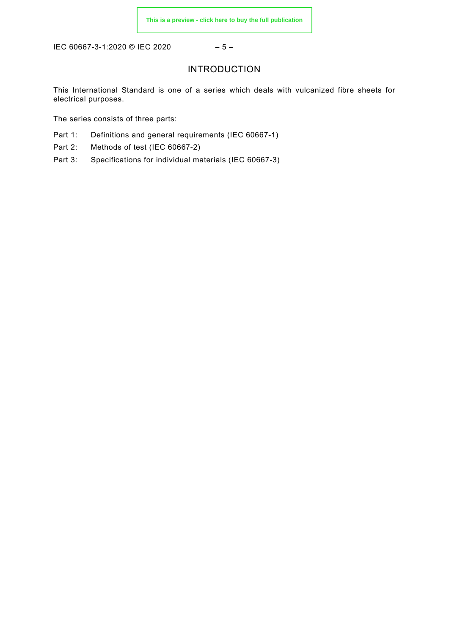IEC 60667-3-1:2020 © IEC 2020 – 5 –

# INTRODUCTION

<span id="page-4-0"></span>This International Standard is one of a series which deals with vulcanized fibre sheets for electrical purposes.

The series consists of three parts:

- Part 1: Definitions and general requirements (IEC 60667-1)
- Part 2: Methods of test (IEC 60667-2)
- Part 3: Specifications for individual materials (IEC 60667-3)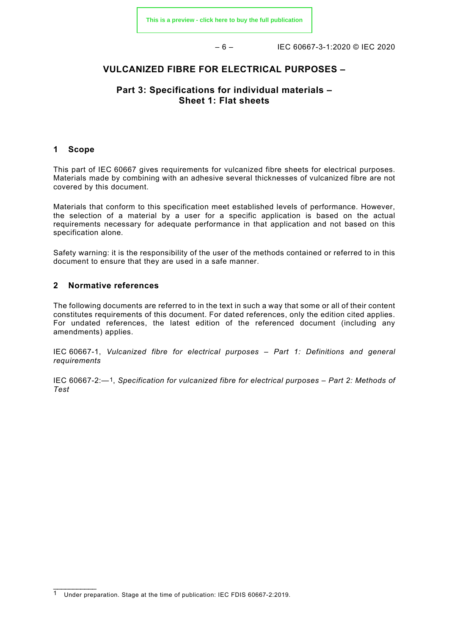$-6 -$  IEC 60667-3-1:2020 © IEC 2020

#### **VULCANIZED FIBRE FOR ELECTRICAL PURPOSES –**

# **Part 3: Specifications for individual materials – Sheet 1: Flat sheets**

#### <span id="page-5-0"></span>**1 Scope**

<span id="page-5-3"></span>\_\_\_\_\_\_\_\_\_\_\_\_\_

This part of IEC 60667 gives requirements for vulcanized fibre sheets for electrical purposes. Materials made by combining with an adhesive several thicknesses of vulcanized fibre are not covered by this document.

Materials that conform to this specification meet established levels of performance. However, the selection of a material by a user for a specific application is based on the actual requirements necessary for adequate performance in that application and not based on this specification alone.

Safety warning: it is the responsibility of the user of the methods contained or referred to in this document to ensure that they are used in a safe manner.

#### <span id="page-5-1"></span>**2 Normative references**

The following documents are referred to in the text in such a way that some or all of their content constitutes requirements of this document. For dated references, only the edition cited applies. For undated references, the latest edition of the referenced document (including any amendments) applies.

IEC 60667-1, *Vulcanized fibre for electrical purposes – Part 1: Definitions and general requirements*

<span id="page-5-2"></span>IEC 60667-2:—[1,](#page-5-4) *Specification for vulcanized fibre for electrical purposes – Part 2: Methods of Test*

<span id="page-5-4"></span><sup>1</sup> Under preparation. Stage at the time of publication: IEC FDIS 60667-2:2019.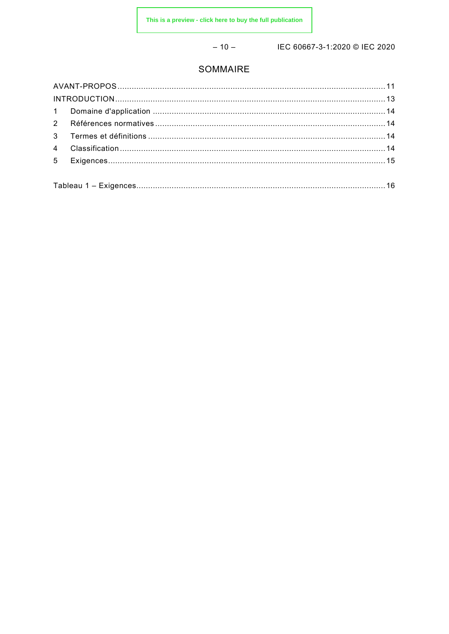$-10-$ 

IEC 60667-3-1:2020 © IEC 2020

# SOMMAIRE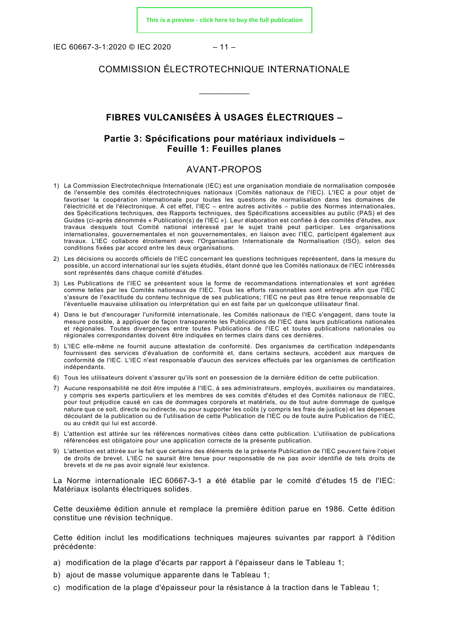IEC 60667-3-1:2020 © IEC 2020 – 11 –

#### COMMISSION ÉLECTROTECHNIQUE INTERNATIONALE

\_\_\_\_\_\_\_\_\_\_\_\_

# **FIBRES VULCANISÉES À USAGES ÉLECTRIQUES –**

### **Partie 3: Spécifications pour matériaux individuels – Feuille 1: Feuilles planes**

#### AVANT-PROPOS

- <span id="page-7-0"></span>1) La Commission Electrotechnique Internationale (IEC) est une organisation mondiale de normalisation composée de l'ensemble des comités électrotechniques nationaux (Comités nationaux de l'IEC). L'IEC a pour objet de favoriser la coopération internationale pour toutes les questions de normalisation dans les domaines de l'électricité et de l'électronique. À cet effet, l'IEC – entre autres activités – publie des Normes internationales, des Spécifications techniques, des Rapports techniques, des Spécifications accessibles au public (PAS) et des Guides (ci-après dénommés « Publication(s) de l'IEC »). Leur élaboration est confiée à des comités d'études, aux travaux desquels tout Comité national intéressé par le sujet traité peut participer. Les organisations internationales, gouvernementales et non gouvernementales, en liaison avec l'IEC, participent également aux travaux. L'IEC collabore étroitement avec l'Organisation Internationale de Normalisation (ISO), selon des conditions fixées par accord entre les deux organisations.
- 2) Les décisions ou accords officiels de l'IEC concernant les questions techniques représentent, dans la mesure du possible, un accord international sur les sujets étudiés, étant donné que les Comités nationaux de l'IEC intéressés sont représentés dans chaque comité d'études.
- 3) Les Publications de l'IEC se présentent sous la forme de recommandations internationales et sont agréées comme telles par les Comités nationaux de l'IEC. Tous les efforts raisonnables sont entrepris afin que l'IEC s'assure de l'exactitude du contenu technique de ses publications; l'IEC ne peut pas être tenue responsable de l'éventuelle mauvaise utilisation ou interprétation qui en est faite par un quelconque utilisateur final.
- 4) Dans le but d'encourager l'uniformité internationale, les Comités nationaux de l'IEC s'engagent, dans toute la mesure possible, à appliquer de façon transparente les Publications de l'IEC dans leurs publications nationales et régionales. Toutes divergences entre toutes Publications de l'IEC et toutes publications nationales ou régionales correspondantes doivent être indiquées en termes clairs dans ces dernières.
- 5) L'IEC elle-même ne fournit aucune attestation de conformité. Des organismes de certification indépendants fournissent des services d'évaluation de conformité et, dans certains secteurs, accèdent aux marques de conformité de l'IEC. L'IEC n'est responsable d'aucun des services effectués par les organismes de certification indépendants.
- 6) Tous les utilisateurs doivent s'assurer qu'ils sont en possession de la dernière édition de cette publication.
- 7) Aucune responsabilité ne doit être imputée à l'IEC, à ses administrateurs, employés, auxiliaires ou mandataires, y compris ses experts particuliers et les membres de ses comités d'études et des Comités nationaux de l'IEC, pour tout préjudice causé en cas de dommages corporels et matériels, ou de tout autre dommage de quelque nature que ce soit, directe ou indirecte, ou pour supporter les coûts (y compris les frais de justice) et les dépenses découlant de la publication ou de l'utilisation de cette Publication de l'IEC ou de toute autre Publication de l'IEC, ou au crédit qui lui est accordé.
- 8) L'attention est attirée sur les références normatives citées dans cette publication. L'utilisation de publications référencées est obligatoire pour une application correcte de la présente publication.
- 9) L'attention est attirée sur le fait que certains des éléments de la présente Publication de l'IEC peuvent faire l'objet de droits de brevet. L'IEC ne saurait être tenue pour responsable de ne pas avoir identifié de tels droits de brevets et de ne pas avoir signalé leur existence.

La Norme internationale IEC 60667-3-1 a été établie par le comité d'études 15 de l'IEC: Matériaux isolants électriques solides.

Cette deuxième édition annule et remplace la première édition parue en 1986. Cette édition constitue une révision technique.

Cette édition inclut les modifications techniques majeures suivantes par rapport à l'édition précédente:

- a) modification de la plage d'écarts par rapport à l'épaisseur dans le Tableau 1;
- b) ajout de masse volumique apparente dans le Tableau 1;
- c) modification de la plage d'épaisseur pour la résistance à la traction dans le Tableau 1;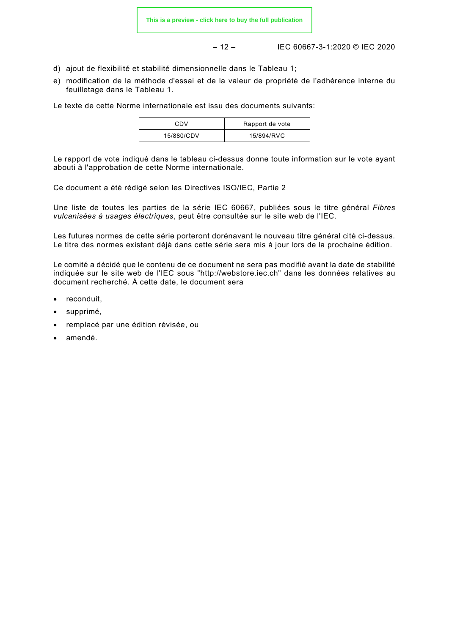**[This is a preview - click here to buy the full publication](https://webstore.iec.ch/publication/63398&preview)**

– 12 – IEC 60667-3-1:2020 © IEC 2020

- d) ajout de flexibilité et stabilité dimensionnelle dans le Tableau 1;
- e) modification de la méthode d'essai et de la valeur de propriété de l'adhérence interne du feuilletage dans le Tableau 1.

Le texte de cette Norme internationale est issu des documents suivants:

| CDV        | Rapport de vote |
|------------|-----------------|
| 15/880/CDV | 15/894/RVC      |

Le rapport de vote indiqué dans le tableau ci-dessus donne toute information sur le vote ayant abouti à l'approbation de cette Norme internationale.

Ce document a été rédigé selon les Directives ISO/IEC, Partie 2

Une liste de toutes les parties de la série IEC 60667, publiées sous le titre général *Fibres vulcanisées à usages électriques*, peut être consultée sur le site web de l'IEC.

Les futures normes de cette série porteront dorénavant le nouveau titre général cité ci-dessus. Le titre des normes existant déjà dans cette série sera mis à jour lors de la prochaine édition.

Le comité a décidé que le contenu de ce document ne sera pas modifié avant la date de stabilité indiquée sur le site web de l'IEC sous "http://webstore.iec.ch" dans les données relatives au document recherché. À cette date, le document sera

- reconduit,
- supprimé,
- remplacé par une édition révisée, ou
- amendé.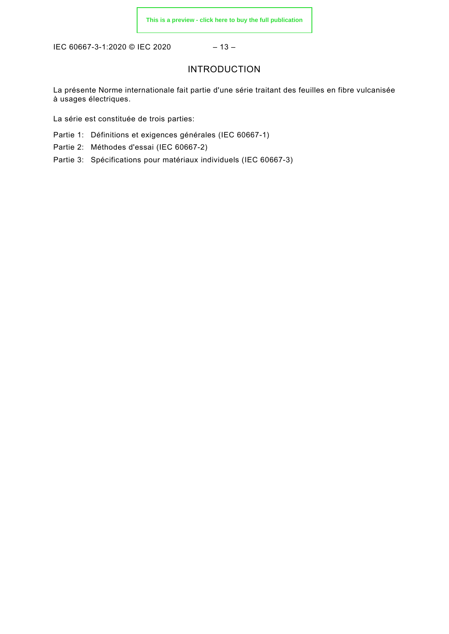<span id="page-9-0"></span>IEC 60667-3-1:2020 © IEC 2020 – 13 –

# INTRODUCTION

La présente Norme internationale fait partie d'une série traitant des feuilles en fibre vulcanisée à usages électriques.

La série est constituée de trois parties:

- Partie 1: Définitions et exigences générales (IEC 60667-1)
- Partie 2: Méthodes d'essai (IEC 60667-2)
- Partie 3: Spécifications pour matériaux individuels (IEC 60667-3)